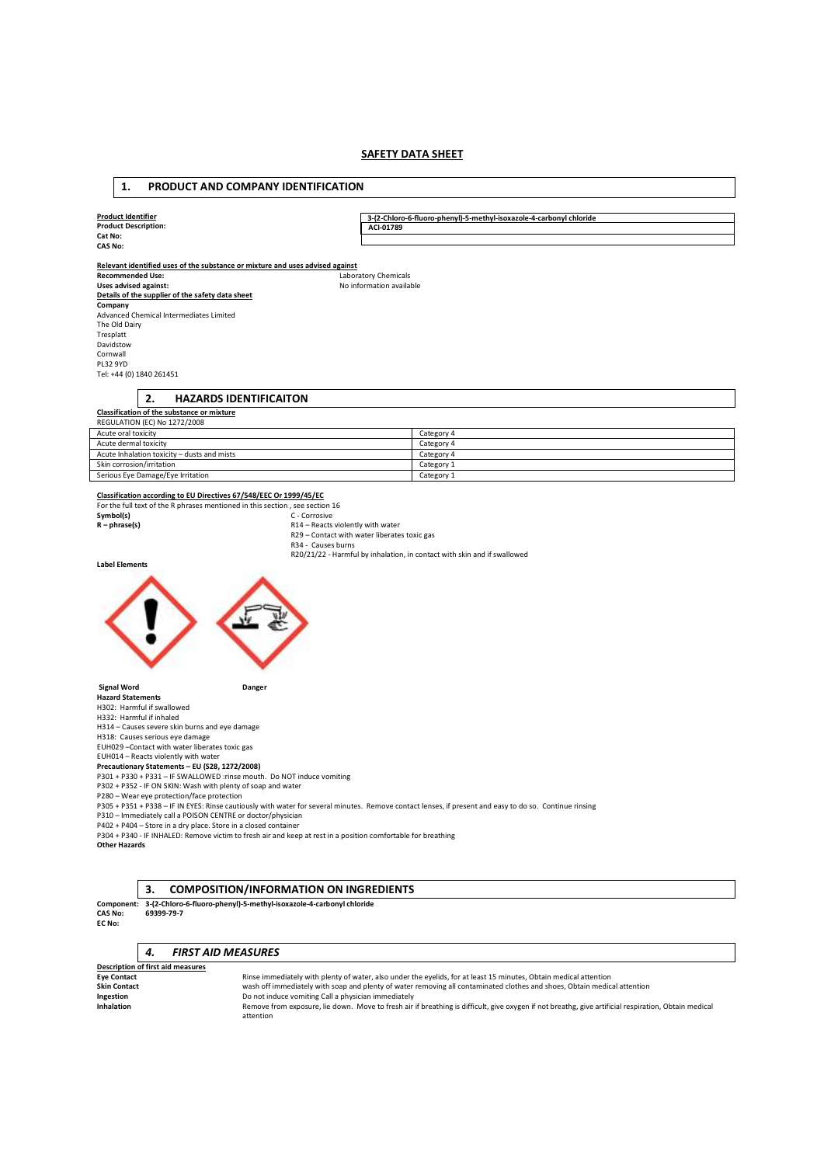# **SAFETY DATA SHEET**

| 1.<br>PRODUCT AND COMPANY IDENTIFICATION                                                                                                                                                                                                                                                                                                                                                                                                                                                                                                                                                                                                                                                                                                                                                                                |                                                                                                                                                         |  |  |  |
|-------------------------------------------------------------------------------------------------------------------------------------------------------------------------------------------------------------------------------------------------------------------------------------------------------------------------------------------------------------------------------------------------------------------------------------------------------------------------------------------------------------------------------------------------------------------------------------------------------------------------------------------------------------------------------------------------------------------------------------------------------------------------------------------------------------------------|---------------------------------------------------------------------------------------------------------------------------------------------------------|--|--|--|
|                                                                                                                                                                                                                                                                                                                                                                                                                                                                                                                                                                                                                                                                                                                                                                                                                         |                                                                                                                                                         |  |  |  |
| <b>Product Identifier</b>                                                                                                                                                                                                                                                                                                                                                                                                                                                                                                                                                                                                                                                                                                                                                                                               | 3-(2-Chloro-6-fluoro-phenyl)-5-methyl-isoxazole-4-carbonyl chloride                                                                                     |  |  |  |
| <b>Product Description:</b>                                                                                                                                                                                                                                                                                                                                                                                                                                                                                                                                                                                                                                                                                                                                                                                             | ACI-01789                                                                                                                                               |  |  |  |
| Cat No:                                                                                                                                                                                                                                                                                                                                                                                                                                                                                                                                                                                                                                                                                                                                                                                                                 |                                                                                                                                                         |  |  |  |
| <b>CAS No:</b><br>Relevant identified uses of the substance or mixture and uses advised against<br><b>Recommended Use:</b><br>Uses advised against:<br>Details of the supplier of the safety data sheet<br>Company<br>Advanced Chemical Intermediates Limited<br>The Old Dairy<br>Tresplatt<br>Davidstow<br>Cornwall<br><b>PL32 9YD</b><br>Tel: +44 (0) 1840 261451<br>2.<br><b>HAZARDS IDENTIFICAITON</b>                                                                                                                                                                                                                                                                                                                                                                                                              | Laboratory Chemicals<br>No information available                                                                                                        |  |  |  |
| Classification of the substance or mixture<br>REGULATION (EC) No 1272/2008                                                                                                                                                                                                                                                                                                                                                                                                                                                                                                                                                                                                                                                                                                                                              |                                                                                                                                                         |  |  |  |
|                                                                                                                                                                                                                                                                                                                                                                                                                                                                                                                                                                                                                                                                                                                                                                                                                         |                                                                                                                                                         |  |  |  |
| Acute oral toxicity<br>Acute dermal toxicity                                                                                                                                                                                                                                                                                                                                                                                                                                                                                                                                                                                                                                                                                                                                                                            | Category 4<br>Category 4                                                                                                                                |  |  |  |
| Acute Inhalation toxicity - dusts and mists                                                                                                                                                                                                                                                                                                                                                                                                                                                                                                                                                                                                                                                                                                                                                                             | Category 4                                                                                                                                              |  |  |  |
| Skin corrosion/irritation                                                                                                                                                                                                                                                                                                                                                                                                                                                                                                                                                                                                                                                                                                                                                                                               | Category 1                                                                                                                                              |  |  |  |
| Serious Eye Damage/Eye Irritation                                                                                                                                                                                                                                                                                                                                                                                                                                                                                                                                                                                                                                                                                                                                                                                       | Category 1                                                                                                                                              |  |  |  |
| For the full text of the R phrases mentioned in this section, see section 16<br>Symbol(s)<br>C - Corrosive<br>$R - phrase(s)$<br>R14 - Reacts violently with water<br>R29 - Contact with water liberates toxic gas<br>R34 - Causes burns<br>R20/21/22 - Harmful by inhalation, in contact with skin and if swallowed<br><b>Label Elements</b>                                                                                                                                                                                                                                                                                                                                                                                                                                                                           |                                                                                                                                                         |  |  |  |
|                                                                                                                                                                                                                                                                                                                                                                                                                                                                                                                                                                                                                                                                                                                                                                                                                         |                                                                                                                                                         |  |  |  |
| <b>Signal Word</b><br>Danger<br><b>Hazard Statements</b><br>H302: Harmful if swallowed<br>H332: Harmful if inhaled<br>H314 - Causes severe skin burns and eye damage<br>H318: Causes serious eye damage<br>EUH029 - Contact with water liberates toxic gas<br>EUH014 - Reacts violently with water<br>Precautionary Statements - EU (S28, 1272/2008)<br>P301 + P330 + P331 - IF SWALLOWED :rinse mouth. Do NOT induce vomiting<br>P302 + P352 - IF ON SKIN: Wash with plenty of soap and water<br>P280 - Wear eye protection/face protection<br>P310 - Immediately call a POISON CENTRE or doctor/physician<br>P402 + P404 - Store in a dry place. Store in a closed container<br>P304 + P340 - IF INHALED: Remove victim to fresh air and keep at rest in a position comfortable for breathing<br><b>Other Hazards</b> | P305 + P351 + P338 - IF IN EYES: Rinse cautiously with water for several minutes. Remove contact lenses, if present and easy to do so. Continue rinsing |  |  |  |
| 3.<br><b>COMPOSITION/INFORMATION ON INGREDIENTS</b><br>Component: 3-(2-Chloro-6-fluoro-phenyl)-5-methyl-isoxazole-4-carbonyl chloride<br>69399-79-7<br><b>CAS No:</b><br>EC No:                                                                                                                                                                                                                                                                                                                                                                                                                                                                                                                                                                                                                                         |                                                                                                                                                         |  |  |  |
| <b>FIRST AID MEASURES</b><br>4.                                                                                                                                                                                                                                                                                                                                                                                                                                                                                                                                                                                                                                                                                                                                                                                         |                                                                                                                                                         |  |  |  |
| Description of first aid measures                                                                                                                                                                                                                                                                                                                                                                                                                                                                                                                                                                                                                                                                                                                                                                                       |                                                                                                                                                         |  |  |  |
| <b>Eye Contact</b>                                                                                                                                                                                                                                                                                                                                                                                                                                                                                                                                                                                                                                                                                                                                                                                                      | Rinse immediately with plenty of water, also under the eyelids, for at least 15 minutes, Obtain medical attention                                       |  |  |  |
| <b>Skin Contact</b><br>Ingestion                                                                                                                                                                                                                                                                                                                                                                                                                                                                                                                                                                                                                                                                                                                                                                                        | wash off immediately with soap and plenty of water removing all contaminated clothes and shoes, Obtain medical attention                                |  |  |  |
| Do not induce vomiting Call a physician immediately                                                                                                                                                                                                                                                                                                                                                                                                                                                                                                                                                                                                                                                                                                                                                                     |                                                                                                                                                         |  |  |  |

I**ngestion**<br>I**nhalation** and the semove from exposure, lie down. Move to fresh air if breathing is difficult, give oxygen if not breathg, give artificial respiration, Obtain medical<br>Inhalation and attention attention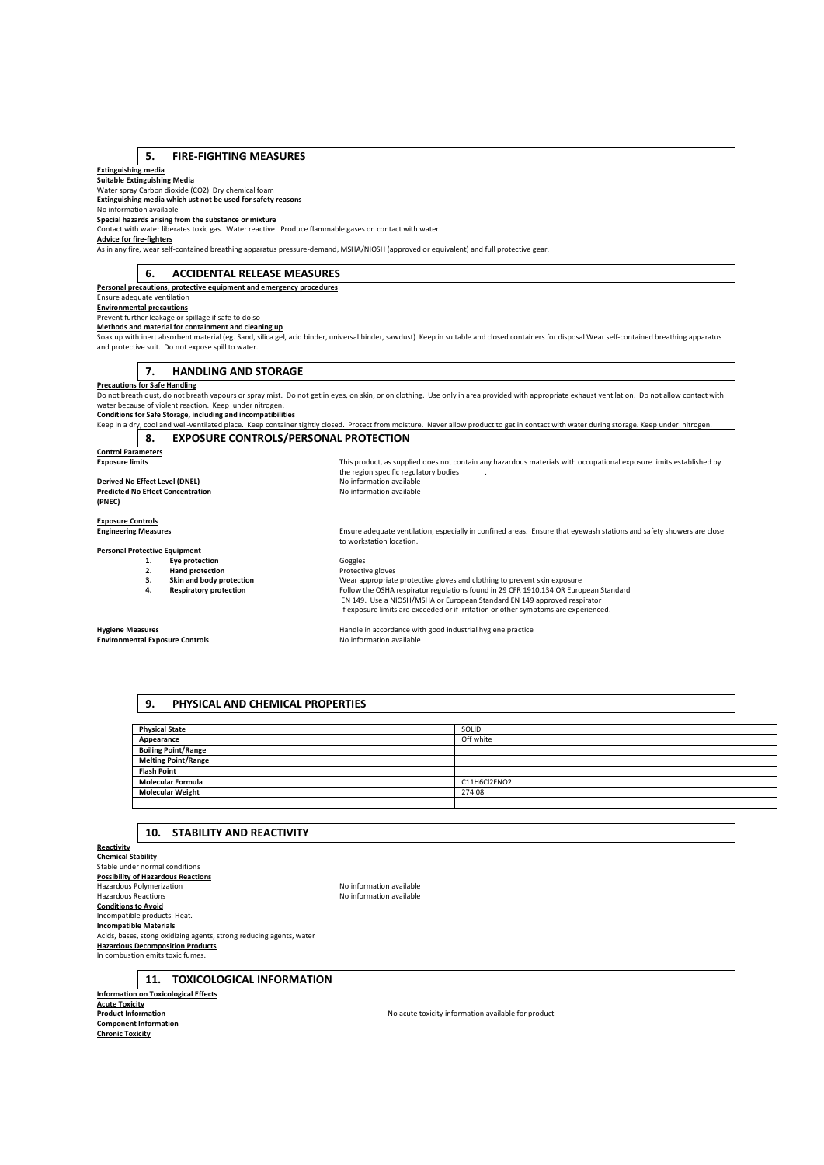#### **5. FIRE-FIGHTING MEASURES**

**Extinguishing media Suitable Extinguishing Media** 

Water spray Carbon dioxide (CO2) Dry chemical foam **Extinguishing media which ust not be used for safety reasons** 

No information available

**Special hazards arising from the substance or mixture**  Contact with water liberates toxic gas. Water reactive. Produce flammable gases on contact with water

**Advice for fire-fighters** 

As in any fire, wear self-contained breathing apparatus pressure-demand, MSHA/NIOSH (approved or equivalent) and full protective gear.

# **6. ACCIDENTAL RELEASE MEASURES**

**Personal precautions, protective equipment and emergency procedures** 

Ensure adequate ventilation

**Environmental precautions** 

Prevent further leakage or spillage if safe to do so **Methods and material for containment and cleaning up**

Soak up with inert absorbent material (eg. Sand, silica gel, acid binder, universal binder, sawdust) Keep in suitable and closed containers for disposal Wear self-contained breathing apparatus and protective suit. Do not expose spill to water.

**7. HANDLING AND STORAGE** 

#### **Precautions for Safe Handling**

Do not breath dust, do not breath vapours or spray mist. Do not get in eyes, on skin, or on clothing. Use only in area provided with appropriate exhaust ventilation. Do not allow contact with water because of violent reaction. Keep under nitrogen.

**Conditions for Safe Storage, including and incompatibilities** 

Keep in a dry, cool and well-ventilated place. Keep container tightly closed. Protect from moisture. Never allow product to get in contact with water during storage. Keep under nitrogen. **8. EXPOSURE CONTROLS/PERSONAL PROTECTION** 

the region specific regulatory bodies<br>No information available

**Control Parameters** 

**Derived No Effect Level (DNEL)**<br> **Predicted No Effect Concentration**<br> **Predicted No Effect Concentration Predicted No Effect Concentration**<br> **(PNEC) (PNEC)** 

**Exposure Controls** 

### **Engineering Measures** Ensure adequate ventilation, especially in confined areas. Ensure that eyewash stations and safety showers are close

**Personal Protective Equipment** 

**1. Eye protection 1. Exercise 2. Hand protection CO CO EXERCIST Protection** 

to workstation location.

- 
- 
- **2. Hand protection Protective gloves**<br> **2. Skin and body protection Protective gloves 3. Skin and body protection 12.** Wear appropriate protective gloves and clothing to prevent skin exposure **Respiratory protection Follow** the OSHA respirator regulations found in 29 CFR 1910.134 OR Euro **4. Respiratory protection** Follow the OSHA respirator regulations found in 29 CFR 1910.134 OR European Standard EN 149. Use a NIOSH/MSHA or European Standard EN 149 approved respirator if exposure limits are exceeded or if irritation or other symptoms are experienced.

**Exposure limits** This product, as supplied does not contain any hazardous materials with occupational exposure limits established by

**Environmental Exposure Controls** 

**Hygiene Measures**<br> **Handle in accordance with good industrial hygiene practice**<br> **Handle in accordance with good industrial hygiene practice**<br> **No information available** 

### **9. PHYSICAL AND CHEMICAL PROPERTIES**

| <b>Physical State</b>      | SOLID        |
|----------------------------|--------------|
| Appearance                 | Off white    |
| <b>Boiling Point/Range</b> |              |
| <b>Melting Point/Range</b> |              |
| <b>Flash Point</b>         |              |
| <b>Molecular Formula</b>   | C11H6Cl2FNO2 |
| <b>Molecular Weight</b>    | 274.08       |
|                            |              |

#### **10. STABILITY AND REACTIVITY**

**Reactivity** 

**Chemical Stability**  Stable under normal conditions **Possibility of Hazardous Reactions**  Hazardous Polymerization **No information available**<br>
Hazardous Reactions<br>
No information available **Conditions to Avoid**  Incompatible products. Heat. **Incompatible Materials Acids, bases, stong oxidizing agents, strong reducing agents, water Hazardous Decomposition Products**  In combustion emits toxic fumes.

No information available

**11. TOXICOLOGICAL INFORMATION** 

### **Information on Toxicological Effects Acute Toxicity Component Information Chronic Toxicity**

No acute toxicity information available for product